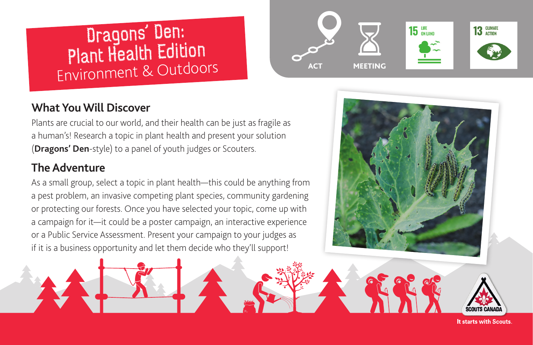# Dragons' Den: Plant Health Edition Environment & Outdoors



#### **What You Will Discover**

Plants are crucial to our world, and their health can be just as fragile as a human's! Research a topic in plant health and present your solution (**[Dragons' Den](https://www.cbc.ca/dragonsden/)**-style) to a panel of youth judges or Scouters.

### **The Adventure**

As a small group, select a topic in plant health—this could be anything from a pest problem, an invasive competing plant species, community gardening or protecting our forests. Once you have selected your topic, come up with a campaign for it—it could be a poster campaign, an interactive experience or a Public Service Assessment. Present your campaign to your judges as if it is a business opportunity and let them decide who they'll support!



**It starts with Scouts.**